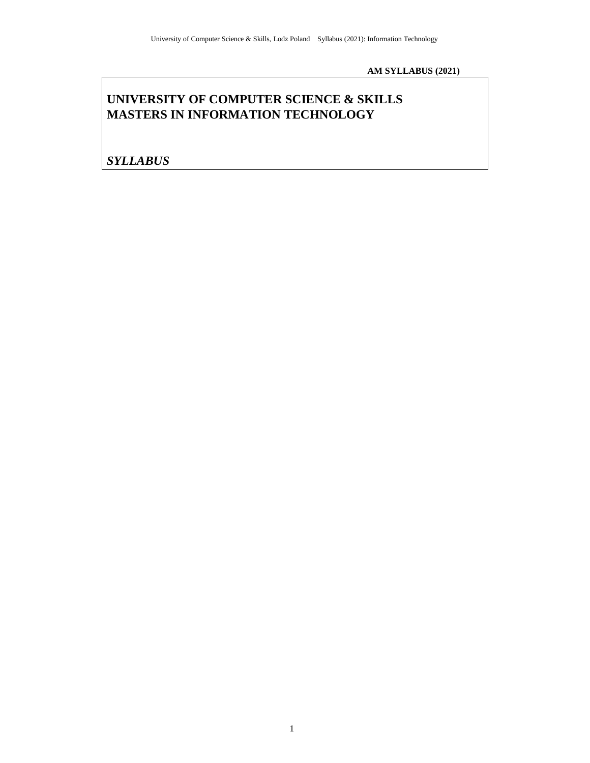**AM SYLLABUS (2021)**

# **UNIVERSITY OF COMPUTER SCIENCE & SKILLS MASTERS IN INFORMATION TECHNOLOGY**

*SYLLABUS*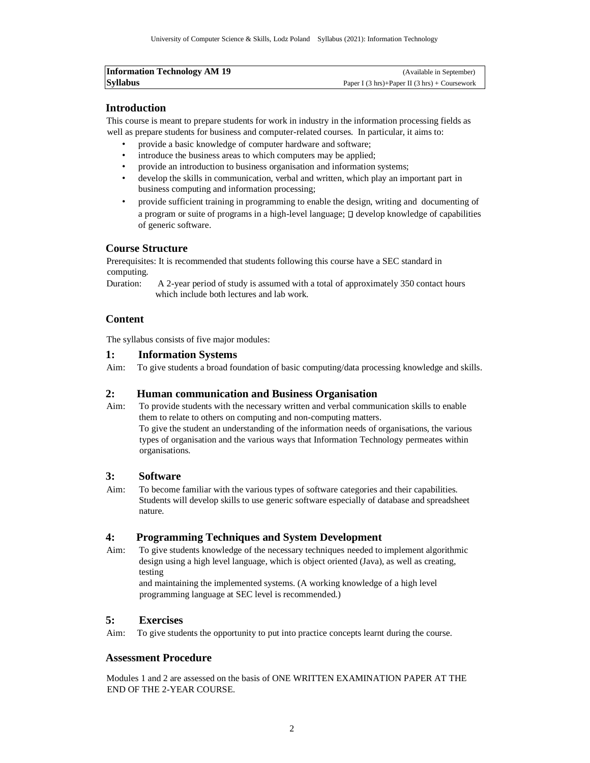| <b>Information Technology AM 19</b> | (Available in September)                                            |
|-------------------------------------|---------------------------------------------------------------------|
| <b>Syllabus</b>                     | Paper I $(3 \text{ hrs}) +$ Paper II $(3 \text{ hrs}) +$ Coursework |

## **Introduction**

This course is meant to prepare students for work in industry in the information processing fields as well as prepare students for business and computer-related courses. In particular, it aims to:

- provide a basic knowledge of computer hardware and software;
- introduce the business areas to which computers may be applied;
- provide an introduction to business organisation and information systems;
- develop the skills in communication, verbal and written, which play an important part in business computing and information processing;
- provide sufficient training in programming to enable the design, writing and documenting of a program or suite of programs in a high-level language;  $\Box$  develop knowledge of capabilities of generic software.

## **Course Structure**

Prerequisites: It is recommended that students following this course have a SEC standard in computing.

Duration: A 2-year period of study is assumed with a total of approximately 350 contact hours which include both lectures and lab work.

## **Content**

The syllabus consists of five major modules:

### **1: Information Systems**

Aim: To give students a broad foundation of basic computing/data processing knowledge and skills.

## **2: Human communication and Business Organisation**

Aim: To provide students with the necessary written and verbal communication skills to enable them to relate to others on computing and non-computing matters. To give the student an understanding of the information needs of organisations, the various

types of organisation and the various ways that Information Technology permeates within organisations.

### **3: Software**

Aim: To become familiar with the various types of software categories and their capabilities. Students will develop skills to use generic software especially of database and spreadsheet nature.

## **4: Programming Techniques and System Development**

Aim: To give students knowledge of the necessary techniques needed to implement algorithmic design using a high level language, which is object oriented (Java), as well as creating, testing

and maintaining the implemented systems. (A working knowledge of a high level programming language at SEC level is recommended.)

## **5: Exercises**

Aim: To give students the opportunity to put into practice concepts learnt during the course.

## **Assessment Procedure**

Modules 1 and 2 are assessed on the basis of ONE WRITTEN EXAMINATION PAPER AT THE END OF THE 2-YEAR COURSE.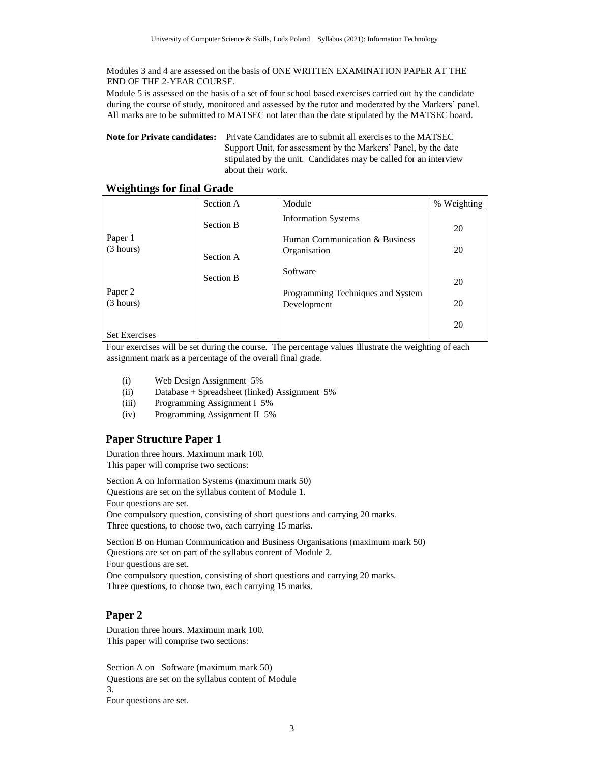Modules 3 and 4 are assessed on the basis of ONE WRITTEN EXAMINATION PAPER AT THE END OF THE 2-YEAR COURSE.

Module 5 is assessed on the basis of a set of four school based exercises carried out by the candidate during the course of study, monitored and assessed by the tutor and moderated by the Markers' panel. All marks are to be submitted to MATSEC not later than the date stipulated by the MATSEC board.

**Note for Private candidates:** Private Candidates are to submit all exercises to the MATSEC Support Unit, for assessment by the Markers' Panel, by the date stipulated by the unit. Candidates may be called for an interview about their work.

| o<br>o               | Section A                     | Module                                                                       | % Weighting |
|----------------------|-------------------------------|------------------------------------------------------------------------------|-------------|
| Paper 1<br>(3 hours) | <b>Section B</b><br>Section A | <b>Information Systems</b><br>Human Communication & Business<br>Organisation | 20<br>20    |
| Paper 2<br>(3 hours) | <b>Section B</b>              | Software<br>Programming Techniques and System<br>Development                 | 20<br>20    |
| <b>Set Exercises</b> |                               |                                                                              | 20          |

## **Weightings for final Grade**

Four exercises will be set during the course. The percentage values illustrate the weighting of each assignment mark as a percentage of the overall final grade.

- (i) Web Design Assignment 5%
- (ii) Database + Spreadsheet (linked) Assignment 5%
- (iii) Programming Assignment I 5%
- (iv) Programming Assignment II 5%

## **Paper Structure Paper 1**

Duration three hours. Maximum mark 100. This paper will comprise two sections:

Section A on Information Systems (maximum mark 50) Questions are set on the syllabus content of Module 1. Four questions are set.

One compulsory question, consisting of short questions and carrying 20 marks. Three questions, to choose two, each carrying 15 marks.

Section B on Human Communication and Business Organisations (maximum mark 50) Questions are set on part of the syllabus content of Module 2. Four questions are set.

One compulsory question, consisting of short questions and carrying 20 marks. Three questions, to choose two, each carrying 15 marks.

## **Paper 2**

Duration three hours. Maximum mark 100. This paper will comprise two sections:

Section A on Software (maximum mark 50) Questions are set on the syllabus content of Module 3. Four questions are set.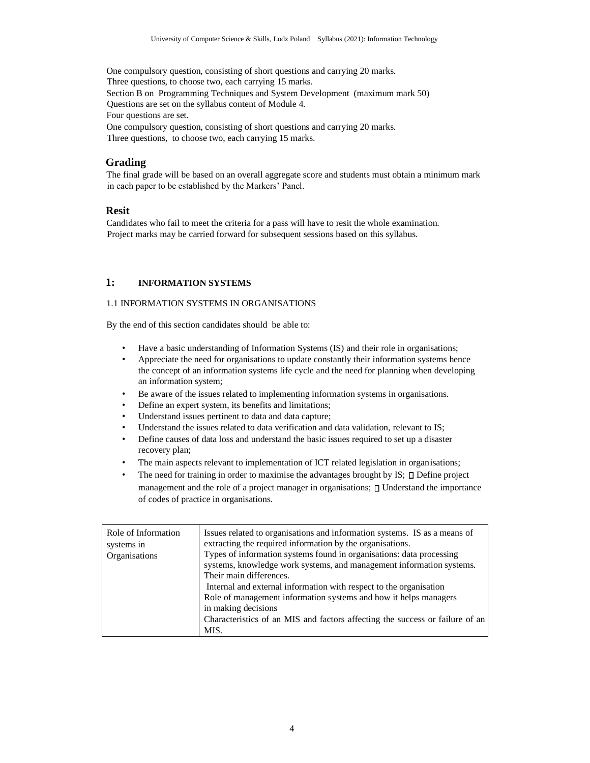One compulsory question, consisting of short questions and carrying 20 marks. Three questions, to choose two, each carrying 15 marks. Section B on Programming Techniques and System Development (maximum mark 50) Questions are set on the syllabus content of Module 4. Four questions are set. One compulsory question, consisting of short questions and carrying 20 marks. Three questions, to choose two, each carrying 15 marks.

#### **Grading**

The final grade will be based on an overall aggregate score and students must obtain a minimum mark in each paper to be established by the Markers' Panel.

#### **Resit**

Candidates who fail to meet the criteria for a pass will have to resit the whole examination. Project marks may be carried forward for subsequent sessions based on this syllabus.

### **1: INFORMATION SYSTEMS**

### 1.1 INFORMATION SYSTEMS IN ORGANISATIONS

By the end of this section candidates should be able to:

- Have a basic understanding of Information Systems (IS) and their role in organisations;
- Appreciate the need for organisations to update constantly their information systems hence the concept of an information systems life cycle and the need for planning when developing an information system;
- Be aware of the issues related to implementing information systems in organisations.
- Define an expert system, its benefits and limitations;
- Understand issues pertinent to data and data capture;
- Understand the issues related to data verification and data validation, relevant to IS;
- Define causes of data loss and understand the basic issues required to set up a disaster recovery plan;
- The main aspects relevant to implementation of ICT related legislation in organisations;
- The need for training in order to maximise the advantages brought by IS;  $\square$  Define project management and the role of a project manager in organisations;  $\Box$  Understand the importance of codes of practice in organisations.

| Role of Information<br>systems in<br>Organisations | Issues related to organisations and information systems. IS as a means of<br>extracting the required information by the organisations.<br>Types of information systems found in organisations: data processing<br>systems, knowledge work systems, and management information systems.<br>Their main differences.<br>Internal and external information with respect to the organisation |
|----------------------------------------------------|-----------------------------------------------------------------------------------------------------------------------------------------------------------------------------------------------------------------------------------------------------------------------------------------------------------------------------------------------------------------------------------------|
|                                                    | Role of management information systems and how it helps managers<br>in making decisions<br>Characteristics of an MIS and factors affecting the success or failure of an<br>MIS.                                                                                                                                                                                                         |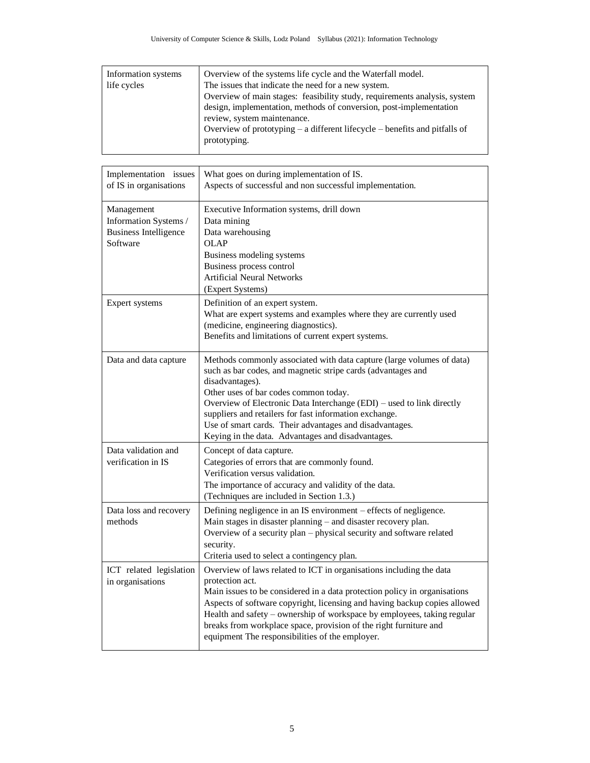| Information systems | Overview of the systems life cycle and the Waterfall model.                    |
|---------------------|--------------------------------------------------------------------------------|
| life cycles         | The issues that indicate the need for a new system.                            |
|                     | Overview of main stages: feasibility study, requirements analysis, system      |
|                     | design, implementation, methods of conversion, post-implementation             |
|                     | review, system maintenance.                                                    |
|                     | Overview of prototyping $-$ a different lifecycle $-$ benefits and pitfalls of |
|                     | prototyping.                                                                   |
|                     |                                                                                |

| Implementation issues<br>of IS in organisations                                 | What goes on during implementation of IS.<br>Aspects of successful and non successful implementation.                                                                                                                                                                                                                                                                                                                                                |
|---------------------------------------------------------------------------------|------------------------------------------------------------------------------------------------------------------------------------------------------------------------------------------------------------------------------------------------------------------------------------------------------------------------------------------------------------------------------------------------------------------------------------------------------|
| Management<br>Information Systems /<br><b>Business Intelligence</b><br>Software | Executive Information systems, drill down<br>Data mining<br>Data warehousing<br><b>OLAP</b><br>Business modeling systems<br>Business process control<br><b>Artificial Neural Networks</b><br>(Expert Systems)                                                                                                                                                                                                                                        |
| Expert systems                                                                  | Definition of an expert system.<br>What are expert systems and examples where they are currently used<br>(medicine, engineering diagnostics).<br>Benefits and limitations of current expert systems.                                                                                                                                                                                                                                                 |
| Data and data capture                                                           | Methods commonly associated with data capture (large volumes of data)<br>such as bar codes, and magnetic stripe cards (advantages and<br>disadvantages).<br>Other uses of bar codes common today.<br>Overview of Electronic Data Interchange (EDI) – used to link directly<br>suppliers and retailers for fast information exchange.<br>Use of smart cards. Their advantages and disadvantages.<br>Keying in the data. Advantages and disadvantages. |
| Data validation and<br>verification in IS                                       | Concept of data capture.<br>Categories of errors that are commonly found.<br>Verification versus validation.<br>The importance of accuracy and validity of the data.<br>(Techniques are included in Section 1.3.)                                                                                                                                                                                                                                    |
| Data loss and recovery<br>methods                                               | Defining negligence in an IS environment - effects of negligence.<br>Main stages in disaster planning - and disaster recovery plan.<br>Overview of a security plan - physical security and software related<br>security.<br>Criteria used to select a contingency plan.                                                                                                                                                                              |
| ICT related legislation<br>in organisations                                     | Overview of laws related to ICT in organisations including the data<br>protection act.<br>Main issues to be considered in a data protection policy in organisations<br>Aspects of software copyright, licensing and having backup copies allowed<br>Health and safety – ownership of workspace by employees, taking regular<br>breaks from workplace space, provision of the right furniture and<br>equipment The responsibilities of the employer.  |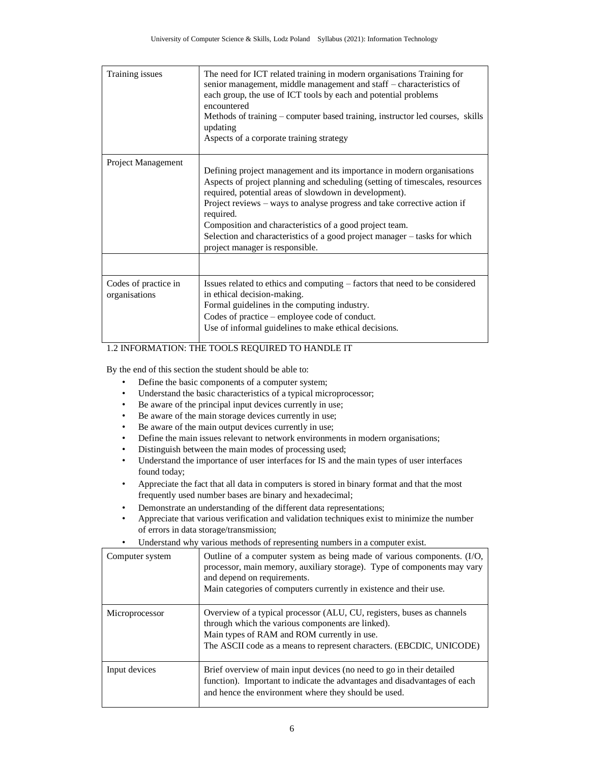| Training issues                       | The need for ICT related training in modern organisations Training for<br>senior management, middle management and staff – characteristics of<br>each group, the use of ICT tools by each and potential problems<br>encountered<br>Methods of training – computer based training, instructor led courses, skills<br>updating<br>Aspects of a corporate training strategy                                                                                                             |
|---------------------------------------|--------------------------------------------------------------------------------------------------------------------------------------------------------------------------------------------------------------------------------------------------------------------------------------------------------------------------------------------------------------------------------------------------------------------------------------------------------------------------------------|
| Project Management                    | Defining project management and its importance in modern organisations<br>Aspects of project planning and scheduling (setting of timescales, resources<br>required, potential areas of slowdown in development).<br>Project reviews – ways to analyse progress and take corrective action if<br>required.<br>Composition and characteristics of a good project team.<br>Selection and characteristics of a good project manager – tasks for which<br>project manager is responsible. |
| Codes of practice in<br>organisations | Issues related to ethics and computing – factors that need to be considered<br>in ethical decision-making.<br>Formal guidelines in the computing industry.<br>Codes of practice – employee code of conduct.<br>Use of informal guidelines to make ethical decisions.                                                                                                                                                                                                                 |

## 1.2 INFORMATION: THE TOOLS REQUIRED TO HANDLE IT

By the end of this section the student should be able to:

- Define the basic components of a computer system;
- Understand the basic characteristics of a typical microprocessor;
- Be aware of the principal input devices currently in use;
- Be aware of the main storage devices currently in use;
- Be aware of the main output devices currently in use;
- Define the main issues relevant to network environments in modern organisations;
- Distinguish between the main modes of processing used;
- Understand the importance of user interfaces for IS and the main types of user interfaces found today;
- Appreciate the fact that all data in computers is stored in binary format and that the most frequently used number bases are binary and hexadecimal;
- Demonstrate an understanding of the different data representations;
- Appreciate that various verification and validation techniques exist to minimize the number of errors in data storage/transmission;
- Understand why various methods of representing numbers in a computer exist.

| Computer system | Outline of a computer system as being made of various components. (I/O,<br>processor, main memory, auxiliary storage). Type of components may vary<br>and depend on requirements.<br>Main categories of computers currently in existence and their use. |
|-----------------|---------------------------------------------------------------------------------------------------------------------------------------------------------------------------------------------------------------------------------------------------------|
| Microprocessor  | Overview of a typical processor (ALU, CU, registers, buses as channels<br>through which the various components are linked).<br>Main types of RAM and ROM currently in use.<br>The ASCII code as a means to represent characters. (EBCDIC, UNICODE)      |
| Input devices   | Brief overview of main input devices (no need to go in their detailed<br>function). Important to indicate the advantages and disadvantages of each<br>and hence the environment where they should be used.                                              |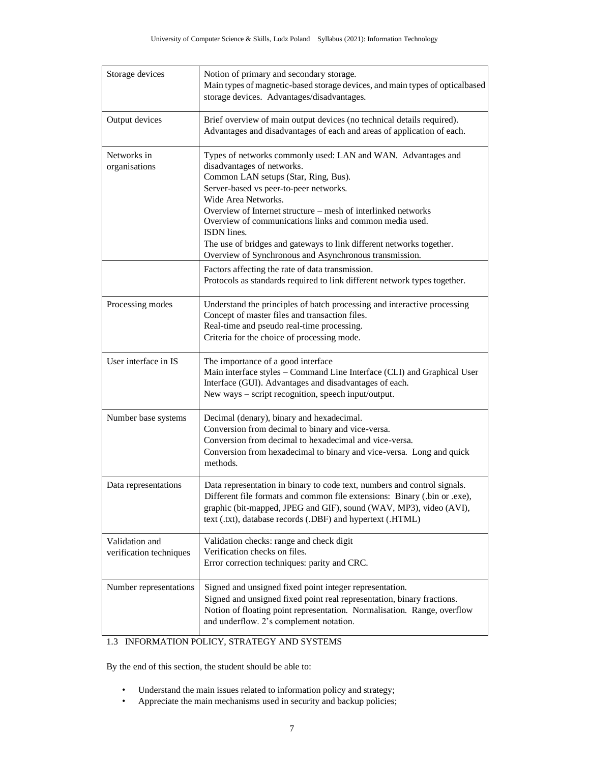| Storage devices                           | Notion of primary and secondary storage.<br>Main types of magnetic-based storage devices, and main types of opticalbased<br>storage devices. Advantages/disadvantages.                                                                                                                                                                                                                                                                                                           |
|-------------------------------------------|----------------------------------------------------------------------------------------------------------------------------------------------------------------------------------------------------------------------------------------------------------------------------------------------------------------------------------------------------------------------------------------------------------------------------------------------------------------------------------|
| Output devices                            | Brief overview of main output devices (no technical details required).<br>Advantages and disadvantages of each and areas of application of each.                                                                                                                                                                                                                                                                                                                                 |
| Networks in<br>organisations              | Types of networks commonly used: LAN and WAN. Advantages and<br>disadvantages of networks.<br>Common LAN setups (Star, Ring, Bus).<br>Server-based vs peer-to-peer networks.<br>Wide Area Networks.<br>Overview of Internet structure – mesh of interlinked networks<br>Overview of communications links and common media used.<br>ISDN lines.<br>The use of bridges and gateways to link different networks together.<br>Overview of Synchronous and Asynchronous transmission. |
|                                           | Factors affecting the rate of data transmission.<br>Protocols as standards required to link different network types together.                                                                                                                                                                                                                                                                                                                                                    |
| Processing modes                          | Understand the principles of batch processing and interactive processing<br>Concept of master files and transaction files.<br>Real-time and pseudo real-time processing.<br>Criteria for the choice of processing mode.                                                                                                                                                                                                                                                          |
| User interface in IS                      | The importance of a good interface<br>Main interface styles - Command Line Interface (CLI) and Graphical User<br>Interface (GUI). Advantages and disadvantages of each.<br>New ways - script recognition, speech input/output.                                                                                                                                                                                                                                                   |
| Number base systems                       | Decimal (denary), binary and hexadecimal.<br>Conversion from decimal to binary and vice-versa.<br>Conversion from decimal to hexadecimal and vice-versa.<br>Conversion from hexadecimal to binary and vice-versa. Long and quick<br>methods.                                                                                                                                                                                                                                     |
| Data representations                      | Data representation in binary to code text, numbers and control signals.<br>Different file formats and common file extensions: Binary (.bin or .exe),<br>graphic (bit-mapped, JPEG and GIF), sound (WAV, MP3), video (AVI),<br>text (.txt), database records (.DBF) and hypertext (.HTML)                                                                                                                                                                                        |
| Validation and<br>verification techniques | Validation checks: range and check digit<br>Verification checks on files.<br>Error correction techniques: parity and CRC.                                                                                                                                                                                                                                                                                                                                                        |
| Number representations                    | Signed and unsigned fixed point integer representation.<br>Signed and unsigned fixed point real representation, binary fractions.<br>Notion of floating point representation. Normalisation. Range, overflow<br>and underflow. 2's complement notation.                                                                                                                                                                                                                          |

## 1.3 INFORMATION POLICY, STRATEGY AND SYSTEMS

By the end of this section, the student should be able to:

- Understand the main issues related to information policy and strategy;
- Appreciate the main mechanisms used in security and backup policies;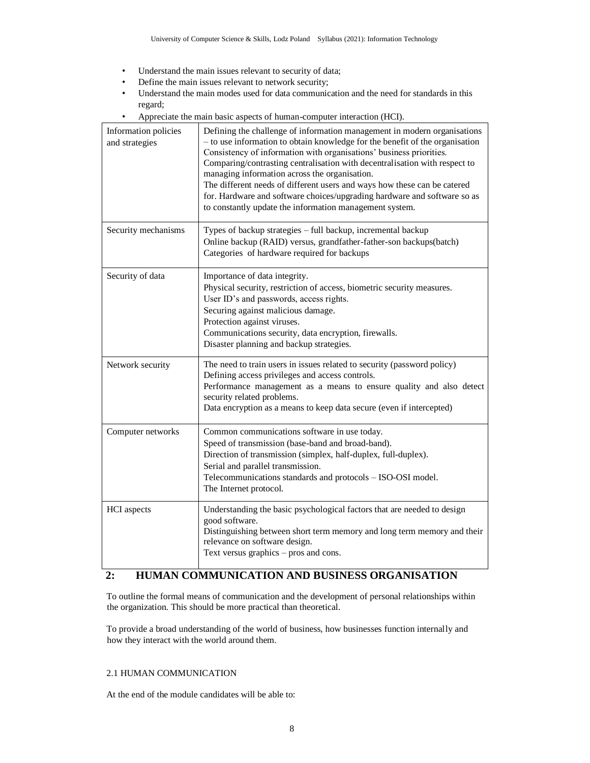- Understand the main issues relevant to security of data;
- Define the main issues relevant to network security;
- Understand the main modes used for data communication and the need for standards in this regard;
- Appreciate the main basic aspects of human-computer interaction (HCI).

| Information policies<br>and strategies | Defining the challenge of information management in modern organisations<br>- to use information to obtain knowledge for the benefit of the organisation<br>Consistency of information with organisations' business priorities.<br>Comparing/contrasting centralisation with decentralisation with respect to<br>managing information across the organisation.<br>The different needs of different users and ways how these can be catered<br>for. Hardware and software choices/upgrading hardware and software so as<br>to constantly update the information management system. |
|----------------------------------------|-----------------------------------------------------------------------------------------------------------------------------------------------------------------------------------------------------------------------------------------------------------------------------------------------------------------------------------------------------------------------------------------------------------------------------------------------------------------------------------------------------------------------------------------------------------------------------------|
| Security mechanisms                    | Types of backup strategies - full backup, incremental backup<br>Online backup (RAID) versus, grandfather-father-son backups(batch)<br>Categories of hardware required for backups                                                                                                                                                                                                                                                                                                                                                                                                 |
| Security of data                       | Importance of data integrity.<br>Physical security, restriction of access, biometric security measures.<br>User ID's and passwords, access rights.<br>Securing against malicious damage.<br>Protection against viruses.<br>Communications security, data encryption, firewalls.<br>Disaster planning and backup strategies.                                                                                                                                                                                                                                                       |
| Network security                       | The need to train users in issues related to security (password policy)<br>Defining access privileges and access controls.<br>Performance management as a means to ensure quality and also detect<br>security related problems.<br>Data encryption as a means to keep data secure (even if intercepted)                                                                                                                                                                                                                                                                           |
| Computer networks                      | Common communications software in use today.<br>Speed of transmission (base-band and broad-band).<br>Direction of transmission (simplex, half-duplex, full-duplex).<br>Serial and parallel transmission.<br>Telecommunications standards and protocols - ISO-OSI model.<br>The Internet protocol.                                                                                                                                                                                                                                                                                 |
| <b>HCI</b> aspects                     | Understanding the basic psychological factors that are needed to design<br>good software.<br>Distinguishing between short term memory and long term memory and their<br>relevance on software design.<br>Text versus graphics - pros and cons.                                                                                                                                                                                                                                                                                                                                    |

## **2: HUMAN COMMUNICATION AND BUSINESS ORGANISATION**

To outline the formal means of communication and the development of personal relationships within the organization. This should be more practical than theoretical.

To provide a broad understanding of the world of business, how businesses function internally and how they interact with the world around them.

### 2.1 HUMAN COMMUNICATION

At the end of the module candidates will be able to: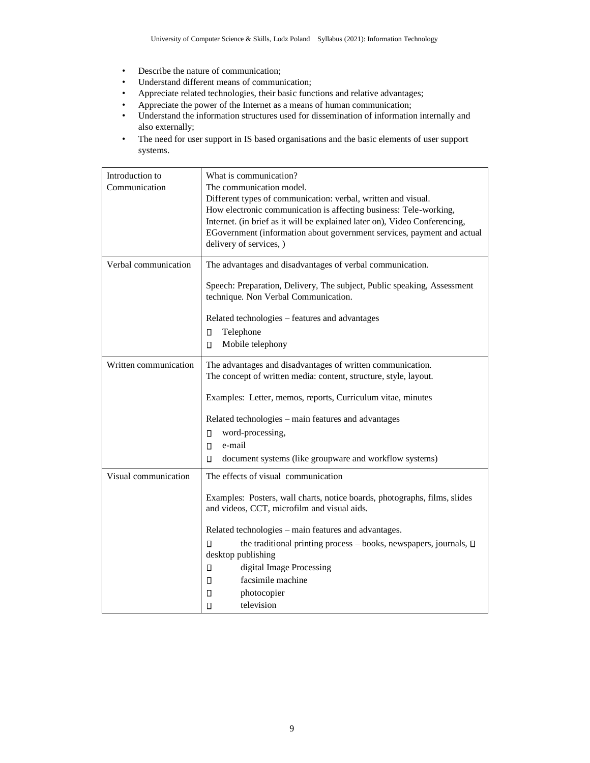- Describe the nature of communication;
- Understand different means of communication;
- Appreciate related technologies, their basic functions and relative advantages;
- Appreciate the power of the Internet as a means of human communication;
- Understand the information structures used for dissemination of information internally and also externally;
- The need for user support in IS based organisations and the basic elements of user support systems.

| Introduction to       | What is communication?                                                        |  |
|-----------------------|-------------------------------------------------------------------------------|--|
| Communication         | The communication model.                                                      |  |
|                       | Different types of communication: verbal, written and visual.                 |  |
|                       | How electronic communication is affecting business: Tele-working,             |  |
|                       | Internet. (in brief as it will be explained later on), Video Conferencing,    |  |
|                       | EGovernment (information about government services, payment and actual        |  |
|                       | delivery of services, )                                                       |  |
| Verbal communication  | The advantages and disadvantages of verbal communication.                     |  |
|                       | Speech: Preparation, Delivery, The subject, Public speaking, Assessment       |  |
|                       | technique. Non Verbal Communication.                                          |  |
|                       | Related technologies - features and advantages                                |  |
|                       | Telephone<br>О                                                                |  |
|                       | Mobile telephony<br>О                                                         |  |
| Written communication | The advantages and disadvantages of written communication.                    |  |
|                       | The concept of written media: content, structure, style, layout.              |  |
|                       |                                                                               |  |
|                       | Examples: Letter, memos, reports, Curriculum vitae, minutes                   |  |
|                       | Related technologies - main features and advantages                           |  |
|                       | word-processing,<br>п                                                         |  |
|                       | e-mail<br>п                                                                   |  |
|                       | document systems (like groupware and workflow systems)<br>п                   |  |
| Visual communication  | The effects of visual communication                                           |  |
|                       | Examples: Posters, wall charts, notice boards, photographs, films, slides     |  |
|                       | and videos, CCT, microfilm and visual aids.                                   |  |
|                       |                                                                               |  |
|                       | Related technologies - main features and advantages.                          |  |
|                       | the traditional printing process $-$ books, newspapers, journals, $\Box$<br>п |  |
|                       | desktop publishing                                                            |  |
|                       | digital Image Processing<br>П                                                 |  |
|                       | facsimile machine<br>п                                                        |  |
|                       | О<br>photocopier                                                              |  |
|                       | television<br>п                                                               |  |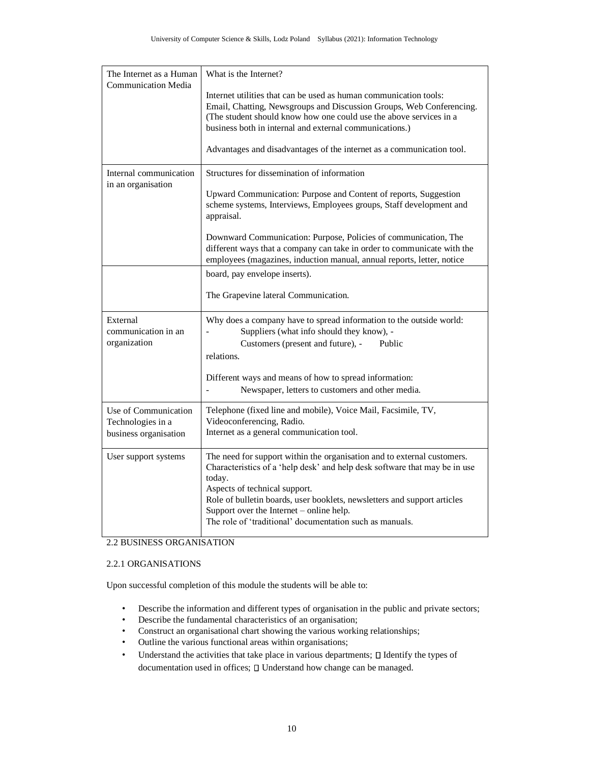| The Internet as a Human<br><b>Communication Media</b>              | What is the Internet?                                                                                                                                                                                                                                                                                                                                                                  |
|--------------------------------------------------------------------|----------------------------------------------------------------------------------------------------------------------------------------------------------------------------------------------------------------------------------------------------------------------------------------------------------------------------------------------------------------------------------------|
|                                                                    | Internet utilities that can be used as human communication tools:<br>Email, Chatting, Newsgroups and Discussion Groups, Web Conferencing.<br>(The student should know how one could use the above services in a<br>business both in internal and external communications.)                                                                                                             |
|                                                                    | Advantages and disadvantages of the internet as a communication tool.                                                                                                                                                                                                                                                                                                                  |
| Internal communication<br>in an organisation                       | Structures for dissemination of information                                                                                                                                                                                                                                                                                                                                            |
|                                                                    | Upward Communication: Purpose and Content of reports, Suggestion<br>scheme systems, Interviews, Employees groups, Staff development and<br>appraisal.                                                                                                                                                                                                                                  |
|                                                                    | Downward Communication: Purpose, Policies of communication, The<br>different ways that a company can take in order to communicate with the<br>employees (magazines, induction manual, annual reports, letter, notice                                                                                                                                                                   |
|                                                                    | board, pay envelope inserts).                                                                                                                                                                                                                                                                                                                                                          |
|                                                                    | The Grapevine lateral Communication.                                                                                                                                                                                                                                                                                                                                                   |
| External<br>communication in an<br>organization                    | Why does a company have to spread information to the outside world:<br>Suppliers (what info should they know), -<br>Customers (present and future), -<br>Public<br>relations.                                                                                                                                                                                                          |
|                                                                    | Different ways and means of how to spread information:<br>Newspaper, letters to customers and other media.                                                                                                                                                                                                                                                                             |
| Use of Communication<br>Technologies in a<br>business organisation | Telephone (fixed line and mobile), Voice Mail, Facsimile, TV,<br>Videoconferencing, Radio.<br>Internet as a general communication tool.                                                                                                                                                                                                                                                |
| User support systems                                               | The need for support within the organisation and to external customers.<br>Characteristics of a 'help desk' and help desk software that may be in use<br>today.<br>Aspects of technical support.<br>Role of bulletin boards, user booklets, newsletters and support articles<br>Support over the Internet $-$ online help.<br>The role of 'traditional' documentation such as manuals. |

## 2.2 BUSINESS ORGANISATION

### 2.2.1 ORGANISATIONS

 $\mathbf l$ 

Upon successful completion of this module the students will be able to:

- Describe the information and different types of organisation in the public and private sectors;
- Describe the fundamental characteristics of an organisation;
- Construct an organisational chart showing the various working relationships;
- Outline the various functional areas within organisations;
- Understand the activities that take place in various departments;  $\square$  Identify the types of documentation used in offices;  $\square$  Understand how change can be managed.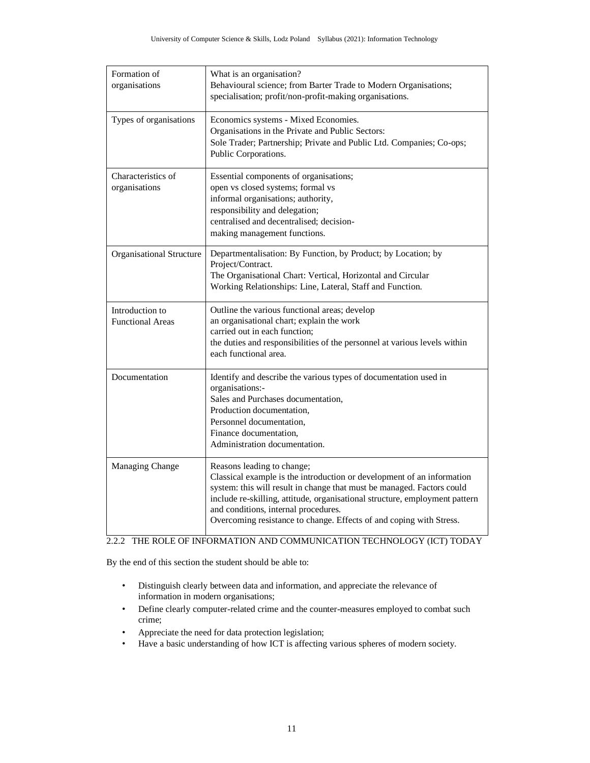| Formation of<br>organisations              | What is an organisation?<br>Behavioural science; from Barter Trade to Modern Organisations;<br>specialisation; profit/non-profit-making organisations.                                                                                                                                                                                                                       |
|--------------------------------------------|------------------------------------------------------------------------------------------------------------------------------------------------------------------------------------------------------------------------------------------------------------------------------------------------------------------------------------------------------------------------------|
| Types of organisations                     | Economics systems - Mixed Economies.<br>Organisations in the Private and Public Sectors:<br>Sole Trader; Partnership; Private and Public Ltd. Companies; Co-ops;<br>Public Corporations.                                                                                                                                                                                     |
| Characteristics of<br>organisations        | Essential components of organisations;<br>open vs closed systems; formal vs<br>informal organisations; authority,<br>responsibility and delegation;<br>centralised and decentralised; decision-<br>making management functions.                                                                                                                                              |
| Organisational Structure                   | Departmentalisation: By Function, by Product; by Location; by<br>Project/Contract.<br>The Organisational Chart: Vertical, Horizontal and Circular<br>Working Relationships: Line, Lateral, Staff and Function.                                                                                                                                                               |
| Introduction to<br><b>Functional Areas</b> | Outline the various functional areas; develop<br>an organisational chart; explain the work<br>carried out in each function;<br>the duties and responsibilities of the personnel at various levels within<br>each functional area.                                                                                                                                            |
| Documentation                              | Identify and describe the various types of documentation used in<br>organisations:-<br>Sales and Purchases documentation,<br>Production documentation,<br>Personnel documentation,<br>Finance documentation,<br>Administration documentation.                                                                                                                                |
| Managing Change                            | Reasons leading to change;<br>Classical example is the introduction or development of an information<br>system: this will result in change that must be managed. Factors could<br>include re-skilling, attitude, organisational structure, employment pattern<br>and conditions, internal procedures.<br>Overcoming resistance to change. Effects of and coping with Stress. |

## 2.2.2 THE ROLE OF INFORMATION AND COMMUNICATION TECHNOLOGY (ICT) TODAY

By the end of this section the student should be able to:

- Distinguish clearly between data and information, and appreciate the relevance of information in modern organisations;
- Define clearly computer-related crime and the counter-measures employed to combat such crime;
- Appreciate the need for data protection legislation;
- Have a basic understanding of how ICT is affecting various spheres of modern society.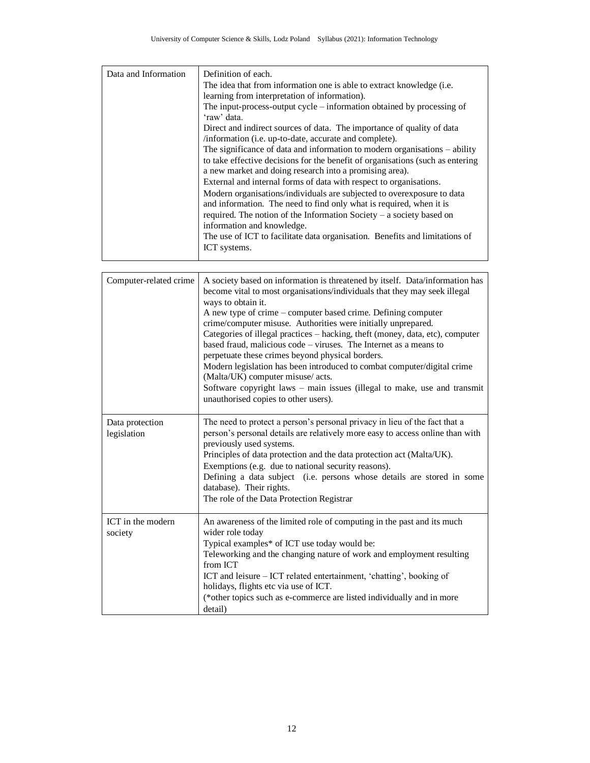| Data and Information | Definition of each.                                                            |
|----------------------|--------------------------------------------------------------------------------|
|                      | The idea that from information one is able to extract knowledge (i.e.          |
|                      | learning from interpretation of information).                                  |
|                      | The input-process-output cycle $-$ information obtained by processing of       |
|                      | 'raw' data.                                                                    |
|                      | Direct and indirect sources of data. The importance of quality of data         |
|                      | /information (i.e. up-to-date, accurate and complete).                         |
|                      | The significance of data and information to modern organisations $-$ ability   |
|                      | to take effective decisions for the benefit of organisations (such as entering |
|                      | a new market and doing research into a promising area).                        |
|                      | External and internal forms of data with respect to organisations.             |
|                      | Modern organisations/individuals are subjected to overexposure to data         |
|                      | and information. The need to find only what is required, when it is            |
|                      | required. The notion of the Information Society – a society based on           |
|                      | information and knowledge.                                                     |
|                      | The use of ICT to facilitate data organisation. Benefits and limitations of    |
|                      | ICT systems.                                                                   |
|                      |                                                                                |

| Computer-related crime         | A society based on information is threatened by itself. Data/information has<br>become vital to most organisations/individuals that they may seek illegal<br>ways to obtain it.<br>A new type of crime – computer based crime. Defining computer<br>crime/computer misuse. Authorities were initially unprepared.<br>Categories of illegal practices - hacking, theft (money, data, etc), computer<br>based fraud, malicious code – viruses. The Internet as a means to<br>perpetuate these crimes beyond physical borders.<br>Modern legislation has been introduced to combat computer/digital crime<br>(Malta/UK) computer misuse/ acts.<br>Software copyright laws – main issues (illegal to make, use and transmit<br>unauthorised copies to other users). |
|--------------------------------|-----------------------------------------------------------------------------------------------------------------------------------------------------------------------------------------------------------------------------------------------------------------------------------------------------------------------------------------------------------------------------------------------------------------------------------------------------------------------------------------------------------------------------------------------------------------------------------------------------------------------------------------------------------------------------------------------------------------------------------------------------------------|
| Data protection<br>legislation | The need to protect a person's personal privacy in lieu of the fact that a<br>person's personal details are relatively more easy to access online than with<br>previously used systems.<br>Principles of data protection and the data protection act (Malta/UK).<br>Exemptions (e.g. due to national security reasons).<br>Defining a data subject (i.e. persons whose details are stored in some<br>database). Their rights.<br>The role of the Data Protection Registrar                                                                                                                                                                                                                                                                                      |
| ICT in the modern<br>society   | An awareness of the limited role of computing in the past and its much<br>wider role today<br>Typical examples* of ICT use today would be:<br>Teleworking and the changing nature of work and employment resulting<br>from ICT<br>ICT and leisure - ICT related entertainment, 'chatting', booking of<br>holidays, flights etc via use of ICT.<br>(*other topics such as e-commerce are listed individually and in more<br>detail)                                                                                                                                                                                                                                                                                                                              |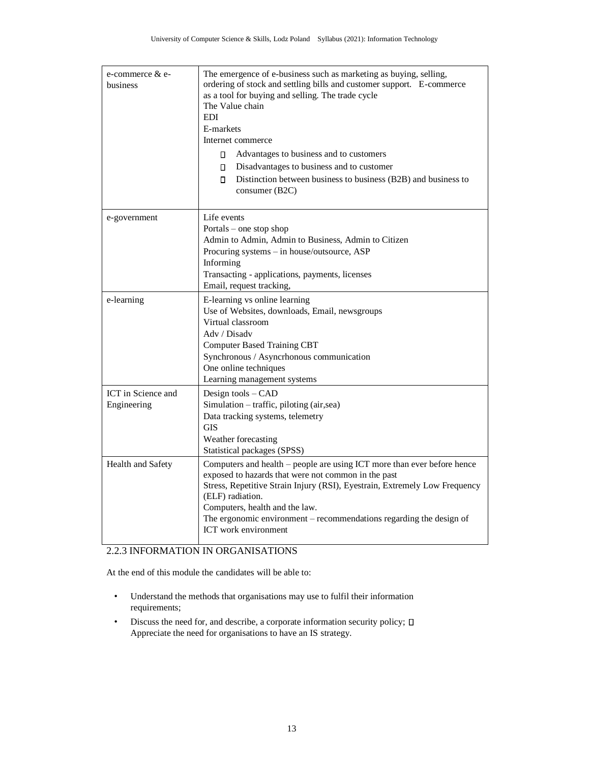| e-commerce & e-<br>business       | The emergence of e-business such as marketing as buying, selling,<br>ordering of stock and settling bills and customer support. E-commerce<br>as a tool for buying and selling. The trade cycle<br>The Value chain<br><b>EDI</b><br>E-markets<br>Internet commerce<br>Π.<br>Advantages to business and to customers<br>П.<br>Disadvantages to business and to customer<br>П.<br>Distinction between business to business (B2B) and business to<br>consumer (B2C) |
|-----------------------------------|------------------------------------------------------------------------------------------------------------------------------------------------------------------------------------------------------------------------------------------------------------------------------------------------------------------------------------------------------------------------------------------------------------------------------------------------------------------|
| e-government                      | Life events<br>Portals – one stop shop<br>Admin to Admin, Admin to Business, Admin to Citizen<br>Procuring systems - in house/outsource, ASP<br>Informing<br>Transacting - applications, payments, licenses<br>Email, request tracking,                                                                                                                                                                                                                          |
| e-learning                        | E-learning vs online learning<br>Use of Websites, downloads, Email, newsgroups<br>Virtual classroom<br>Adv / Disadv<br><b>Computer Based Training CBT</b><br>Synchronous / Asyncrhonous communication<br>One online techniques<br>Learning management systems                                                                                                                                                                                                    |
| ICT in Science and<br>Engineering | Design tools - CAD<br>Simulation – traffic, piloting (air,sea)<br>Data tracking systems, telemetry<br><b>GIS</b><br>Weather forecasting<br>Statistical packages (SPSS)                                                                                                                                                                                                                                                                                           |
| Health and Safety                 | Computers and health – people are using ICT more than ever before hence<br>exposed to hazards that were not common in the past<br>Stress, Repetitive Strain Injury (RSI), Eyestrain, Extremely Low Frequency<br>(ELF) radiation.<br>Computers, health and the law.<br>The ergonomic environment - recommendations regarding the design of<br>ICT work environment                                                                                                |

### 2.2.3 INFORMATION IN ORGANISATIONS

At the end of this module the candidates will be able to:

- Understand the methods that organisations may use to fulfil their information requirements;
- Discuss the need for, and describe, a corporate information security policy;  $\square$ Appreciate the need for organisations to have an IS strategy.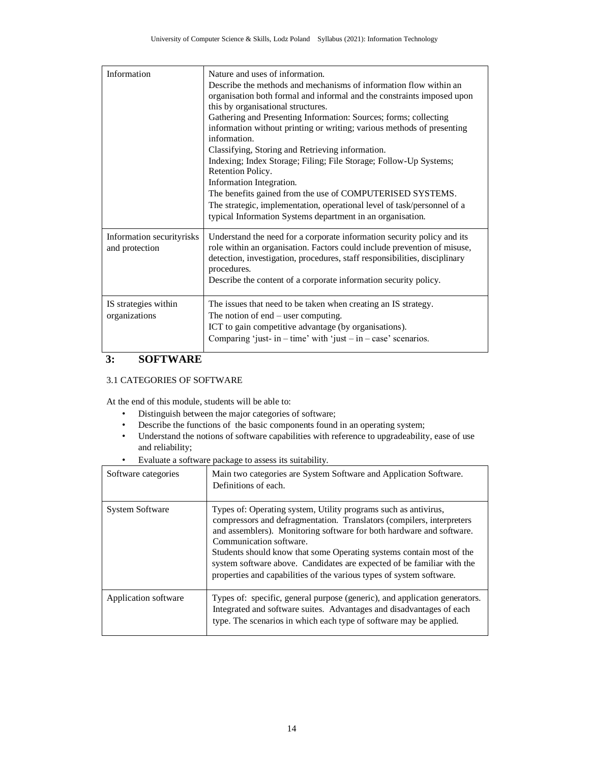| Information                                 | Nature and uses of information.<br>Describe the methods and mechanisms of information flow within an<br>organisation both formal and informal and the constraints imposed upon<br>this by organisational structures.<br>Gathering and Presenting Information: Sources; forms; collecting<br>information without printing or writing; various methods of presenting<br>information.<br>Classifying, Storing and Retrieving information.<br>Indexing; Index Storage; Filing; File Storage; Follow-Up Systems;<br>Retention Policy.<br>Information Integration.<br>The benefits gained from the use of COMPUTERISED SYSTEMS.<br>The strategic, implementation, operational level of task/personnel of a<br>typical Information Systems department in an organisation. |
|---------------------------------------------|--------------------------------------------------------------------------------------------------------------------------------------------------------------------------------------------------------------------------------------------------------------------------------------------------------------------------------------------------------------------------------------------------------------------------------------------------------------------------------------------------------------------------------------------------------------------------------------------------------------------------------------------------------------------------------------------------------------------------------------------------------------------|
| Information securityrisks<br>and protection | Understand the need for a corporate information security policy and its<br>role within an organisation. Factors could include prevention of misuse,<br>detection, investigation, procedures, staff responsibilities, disciplinary<br>procedures.<br>Describe the content of a corporate information security policy.                                                                                                                                                                                                                                                                                                                                                                                                                                               |
| IS strategies within<br>organizations       | The issues that need to be taken when creating an IS strategy.<br>The notion of $end - user computing$ .<br>ICT to gain competitive advantage (by organisations).<br>Comparing 'just- in - time' with 'just - in - case' scenarios.                                                                                                                                                                                                                                                                                                                                                                                                                                                                                                                                |

## **3: SOFTWARE**

### 3.1 CATEGORIES OF SOFTWARE

At the end of this module, students will be able to:

- Distinguish between the major categories of software;
- Describe the functions of the basic components found in an operating system;
- Understand the notions of software capabilities with reference to upgradeability, ease of use and reliability;
- Evaluate a software package to assess its suitability.

| Software categories    | Main two categories are System Software and Application Software.<br>Definitions of each.                                                                                                                                                                                                                                                                                                                                                                              |
|------------------------|------------------------------------------------------------------------------------------------------------------------------------------------------------------------------------------------------------------------------------------------------------------------------------------------------------------------------------------------------------------------------------------------------------------------------------------------------------------------|
| <b>System Software</b> | Types of: Operating system, Utility programs such as antivirus,<br>compressors and defragmentation. Translators (compilers, interpreters)<br>and assemblers). Monitoring software for both hardware and software.<br>Communication software.<br>Students should know that some Operating systems contain most of the<br>system software above. Candidates are expected of be familiar with the<br>properties and capabilities of the various types of system software. |
| Application software   | Types of: specific, general purpose (generic), and application generators.<br>Integrated and software suites. Advantages and disadvantages of each<br>type. The scenarios in which each type of software may be applied.                                                                                                                                                                                                                                               |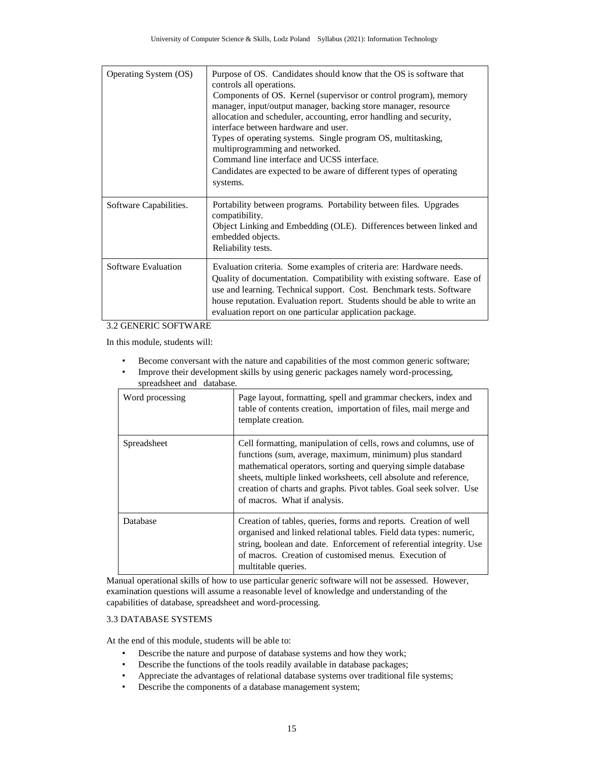| Operating System (OS)  | Purpose of OS. Candidates should know that the OS is software that<br>controls all operations.<br>Components of OS. Kernel (supervisor or control program), memory<br>manager, input/output manager, backing store manager, resource<br>allocation and scheduler, accounting, error handling and security,<br>interface between hardware and user.<br>Types of operating systems. Single program OS, multitasking,<br>multiprogramming and networked.<br>Command line interface and UCSS interface.<br>Candidates are expected to be aware of different types of operating<br>systems. |
|------------------------|----------------------------------------------------------------------------------------------------------------------------------------------------------------------------------------------------------------------------------------------------------------------------------------------------------------------------------------------------------------------------------------------------------------------------------------------------------------------------------------------------------------------------------------------------------------------------------------|
| Software Capabilities. | Portability between programs. Portability between files. Upgrades<br>compatibility.<br>Object Linking and Embedding (OLE). Differences between linked and<br>embedded objects.<br>Reliability tests.                                                                                                                                                                                                                                                                                                                                                                                   |
| Software Evaluation    | Evaluation criteria. Some examples of criteria are: Hardware needs.<br>Quality of documentation. Compatibility with existing software. Ease of<br>use and learning. Technical support. Cost. Benchmark tests. Software<br>house reputation. Evaluation report. Students should be able to write an<br>evaluation report on one particular application package.                                                                                                                                                                                                                         |

#### 3.2 GENERIC SOFTWARE

In this module, students will:

- Become conversant with the nature and capabilities of the most common generic software;
- Improve their development skills by using generic packages namely word-processing, spreadsheet and database.

| Word processing | Page layout, formatting, spell and grammar checkers, index and<br>table of contents creation, importation of files, mail merge and<br>template creation.                                                                                                                                                                                                               |
|-----------------|------------------------------------------------------------------------------------------------------------------------------------------------------------------------------------------------------------------------------------------------------------------------------------------------------------------------------------------------------------------------|
| Spreadsheet     | Cell formatting, manipulation of cells, rows and columns, use of<br>functions (sum, average, maximum, minimum) plus standard<br>mathematical operators, sorting and querying simple database<br>sheets, multiple linked worksheets, cell absolute and reference,<br>creation of charts and graphs. Pivot tables. Goal seek solver. Use<br>of macros. What if analysis. |
| Database        | Creation of tables, queries, forms and reports. Creation of well<br>organised and linked relational tables. Field data types: numeric,<br>string, boolean and date. Enforcement of referential integrity. Use<br>of macros. Creation of customised menus. Execution of<br>multitable queries.                                                                          |

 Manual operational skills of how to use particular generic software will not be assessed. However, examination questions will assume a reasonable level of knowledge and understanding of the capabilities of database, spreadsheet and word-processing.

### 3.3 DATABASE SYSTEMS

At the end of this module, students will be able to:

- Describe the nature and purpose of database systems and how they work;
- Describe the functions of the tools readily available in database packages;
- Appreciate the advantages of relational database systems over traditional file systems;
- Describe the components of a database management system;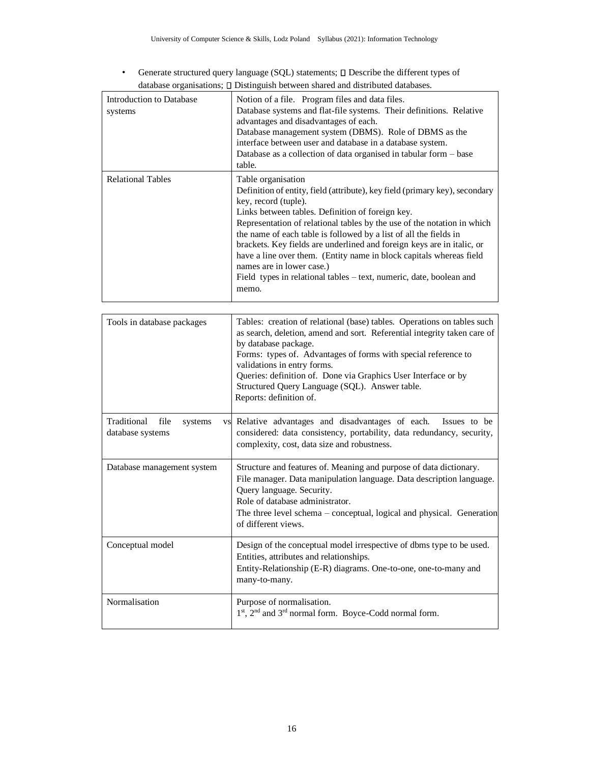• Generate structured query language (SQL) statements;  $\square$  Describe the different types of database organisations;  $\square$  Distinguish between shared and distributed databases.

| Introduction to Database<br>systems | Notion of a file. Program files and data files.<br>Database systems and flat-file systems. Their definitions. Relative<br>advantages and disadvantages of each.<br>Database management system (DBMS). Role of DBMS as the<br>interface between user and database in a database system.<br>Database as a collection of data organised in tabular form - base<br>table.                                                                                                                                                                                                                       |
|-------------------------------------|---------------------------------------------------------------------------------------------------------------------------------------------------------------------------------------------------------------------------------------------------------------------------------------------------------------------------------------------------------------------------------------------------------------------------------------------------------------------------------------------------------------------------------------------------------------------------------------------|
| <b>Relational Tables</b>            | Table organisation<br>Definition of entity, field (attribute), key field (primary key), secondary<br>key, record (tuple).<br>Links between tables. Definition of foreign key.<br>Representation of relational tables by the use of the notation in which<br>the name of each table is followed by a list of all the fields in<br>brackets. Key fields are underlined and foreign keys are in italic, or<br>have a line over them. (Entity name in block capitals whereas field<br>names are in lower case.)<br>Field types in relational tables – text, numeric, date, boolean and<br>memo. |

| Tools in database packages                         | Tables: creation of relational (base) tables. Operations on tables such<br>as search, deletion, amend and sort. Referential integrity taken care of<br>by database package.<br>Forms: types of. Advantages of forms with special reference to<br>validations in entry forms.<br>Queries: definition of. Done via Graphics User Interface or by<br>Structured Query Language (SQL). Answer table.<br>Reports: definition of. |
|----------------------------------------------------|-----------------------------------------------------------------------------------------------------------------------------------------------------------------------------------------------------------------------------------------------------------------------------------------------------------------------------------------------------------------------------------------------------------------------------|
| Traditional<br>file<br>systems<br>database systems | vs Relative advantages and disadvantages of each.<br>Issues to be<br>considered: data consistency, portability, data redundancy, security,<br>complexity, cost, data size and robustness.                                                                                                                                                                                                                                   |
| Database management system                         | Structure and features of. Meaning and purpose of data dictionary.<br>File manager. Data manipulation language. Data description language.<br>Query language. Security.<br>Role of database administrator.<br>The three level schema – conceptual, logical and physical. Generation<br>of different views.                                                                                                                  |
| Conceptual model                                   | Design of the conceptual model irrespective of dbms type to be used.<br>Entities, attributes and relationships.<br>Entity-Relationship (E-R) diagrams. One-to-one, one-to-many and<br>many-to-many.                                                                                                                                                                                                                         |
| Normalisation                                      | Purpose of normalisation.<br>1st, 2 <sup>nd</sup> and 3 <sup>rd</sup> normal form. Boyce-Codd normal form.                                                                                                                                                                                                                                                                                                                  |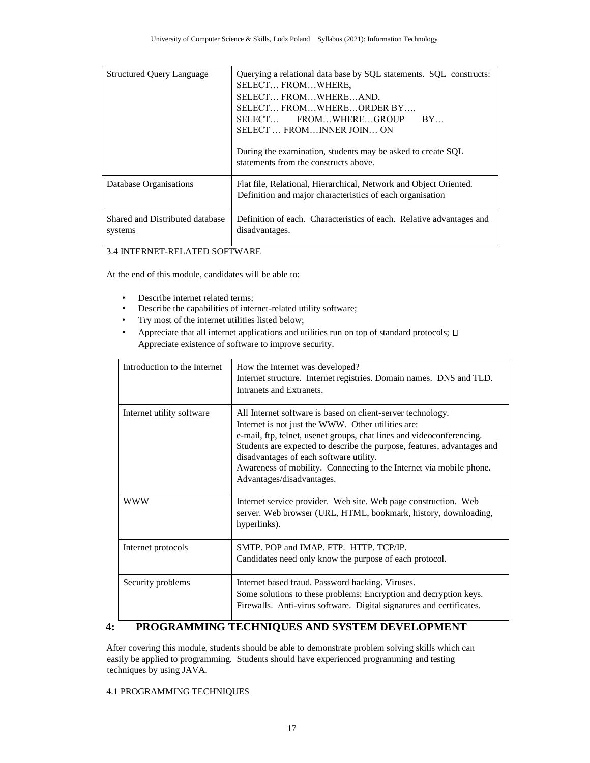| <b>Structured Query Language</b>           | Querying a relational data base by SQL statements. SQL constructs:<br>SELECT FROMWHERE,<br>SELECT FROMWHEREAND,<br>SELECT FROMWHEREORDER BY,<br>SELECT FROMWHEREGROUP<br>$BY_{\cdots}$<br>SELECT  FROMINNER JOIN ON<br>During the examination, students may be asked to create SQL<br>statements from the constructs above. |
|--------------------------------------------|-----------------------------------------------------------------------------------------------------------------------------------------------------------------------------------------------------------------------------------------------------------------------------------------------------------------------------|
| Database Organisations                     | Flat file, Relational, Hierarchical, Network and Object Oriented.<br>Definition and major characteristics of each organisation                                                                                                                                                                                              |
| Shared and Distributed database<br>systems | Definition of each. Characteristics of each. Relative advantages and<br>disadvantages.                                                                                                                                                                                                                                      |

3.4 INTERNET-RELATED SOFTWARE

At the end of this module, candidates will be able to:

- Describe internet related terms;
- Describe the capabilities of internet-related utility software;
- Try most of the internet utilities listed below;
- Appreciate that all internet applications and utilities run on top of standard protocols;  $\square$ Appreciate existence of software to improve security.

| Introduction to the Internet | How the Internet was developed?<br>Internet structure. Internet registries. Domain names. DNS and TLD.<br>Intranets and Extranets.                                                                                                                                                                                                                                                                                   |
|------------------------------|----------------------------------------------------------------------------------------------------------------------------------------------------------------------------------------------------------------------------------------------------------------------------------------------------------------------------------------------------------------------------------------------------------------------|
| Internet utility software    | All Internet software is based on client-server technology.<br>Internet is not just the WWW. Other utilities are:<br>e-mail, ftp, telnet, usenet groups, chat lines and videoconferencing.<br>Students are expected to describe the purpose, features, advantages and<br>disadvantages of each software utility.<br>Awareness of mobility. Connecting to the Internet via mobile phone.<br>Advantages/disadvantages. |
| <b>WWW</b>                   | Internet service provider. Web site. Web page construction. Web<br>server. Web browser (URL, HTML, bookmark, history, downloading,<br>hyperlinks).                                                                                                                                                                                                                                                                   |
| Internet protocols           | SMTP. POP and IMAP. FTP. HTTP. TCP/IP.<br>Candidates need only know the purpose of each protocol.                                                                                                                                                                                                                                                                                                                    |
| Security problems            | Internet based fraud. Password hacking. Viruses.<br>Some solutions to these problems: Encryption and decryption keys.<br>Firewalls. Anti-virus software. Digital signatures and certificates.                                                                                                                                                                                                                        |

## **4: PROGRAMMING TECHNIQUES AND SYSTEM DEVELOPMENT**

After covering this module, students should be able to demonstrate problem solving skills which can easily be applied to programming. Students should have experienced programming and testing techniques by using JAVA.

### 4.1 PROGRAMMING TECHNIQUES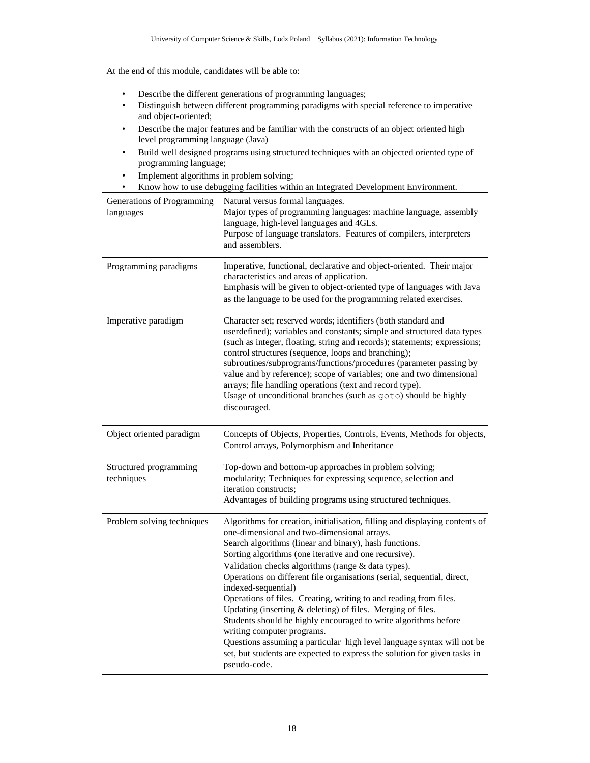At the end of this module, candidates will be able to:

- Describe the different generations of programming languages;
- Distinguish between different programming paradigms with special reference to imperative and object-oriented;
- Describe the major features and be familiar with the constructs of an object oriented high level programming language (Java)
- Build well designed programs using structured techniques with an objected oriented type of programming language;
- Implement algorithms in problem solving;
- Know how to use debugging facilities within an Integrated Development Environment.

| Generations of Programming<br>languages | Natural versus formal languages.<br>Major types of programming languages: machine language, assembly<br>language, high-level languages and 4GLs.<br>Purpose of language translators. Features of compilers, interpreters<br>and assemblers.                                                                                                                                                                                                                                                                                                                                                                                                                                                                                                                                                                       |
|-----------------------------------------|-------------------------------------------------------------------------------------------------------------------------------------------------------------------------------------------------------------------------------------------------------------------------------------------------------------------------------------------------------------------------------------------------------------------------------------------------------------------------------------------------------------------------------------------------------------------------------------------------------------------------------------------------------------------------------------------------------------------------------------------------------------------------------------------------------------------|
| Programming paradigms                   | Imperative, functional, declarative and object-oriented. Their major<br>characteristics and areas of application.<br>Emphasis will be given to object-oriented type of languages with Java<br>as the language to be used for the programming related exercises.                                                                                                                                                                                                                                                                                                                                                                                                                                                                                                                                                   |
| Imperative paradigm                     | Character set; reserved words; identifiers (both standard and<br>userdefined); variables and constants; simple and structured data types<br>(such as integer, floating, string and records); statements; expressions;<br>control structures (sequence, loops and branching);<br>subroutines/subprograms/functions/procedures (parameter passing by<br>value and by reference); scope of variables; one and two dimensional<br>arrays; file handling operations (text and record type).<br>Usage of unconditional branches (such as goto) should be highly<br>discouraged.                                                                                                                                                                                                                                         |
| Object oriented paradigm                | Concepts of Objects, Properties, Controls, Events, Methods for objects,<br>Control arrays, Polymorphism and Inheritance                                                                                                                                                                                                                                                                                                                                                                                                                                                                                                                                                                                                                                                                                           |
| Structured programming<br>techniques    | Top-down and bottom-up approaches in problem solving;<br>modularity; Techniques for expressing sequence, selection and<br>iteration constructs;<br>Advantages of building programs using structured techniques.                                                                                                                                                                                                                                                                                                                                                                                                                                                                                                                                                                                                   |
| Problem solving techniques              | Algorithms for creation, initialisation, filling and displaying contents of<br>one-dimensional and two-dimensional arrays.<br>Search algorithms (linear and binary), hash functions.<br>Sorting algorithms (one iterative and one recursive).<br>Validation checks algorithms (range & data types).<br>Operations on different file organisations (serial, sequential, direct,<br>indexed-sequential)<br>Operations of files. Creating, writing to and reading from files.<br>Updating (inserting & deleting) of files. Merging of files.<br>Students should be highly encouraged to write algorithms before<br>writing computer programs.<br>Questions assuming a particular high level language syntax will not be<br>set, but students are expected to express the solution for given tasks in<br>pseudo-code. |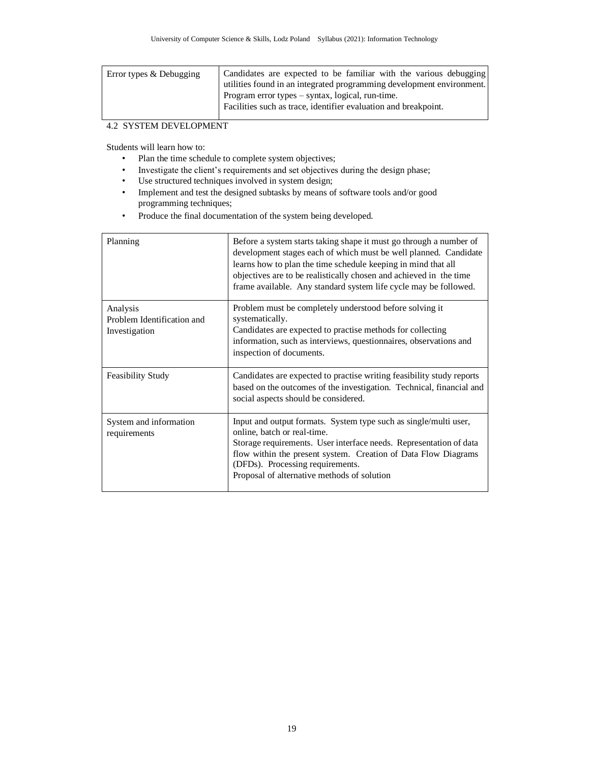## 4.2 SYSTEM DEVELOPMENT

Students will learn how to:

- Plan the time schedule to complete system objectives;
- Investigate the client's requirements and set objectives during the design phase;
- Use structured techniques involved in system design;
- Implement and test the designed subtasks by means of software tools and/or good programming techniques;
- Produce the final documentation of the system being developed.

| Planning                                                | Before a system starts taking shape it must go through a number of<br>development stages each of which must be well planned. Candidate<br>learns how to plan the time schedule keeping in mind that all<br>objectives are to be realistically chosen and achieved in the time<br>frame available. Any standard system life cycle may be followed. |
|---------------------------------------------------------|---------------------------------------------------------------------------------------------------------------------------------------------------------------------------------------------------------------------------------------------------------------------------------------------------------------------------------------------------|
| Analysis<br>Problem Identification and<br>Investigation | Problem must be completely understood before solving it<br>systematically.<br>Candidates are expected to practise methods for collecting<br>information, such as interviews, questionnaires, observations and<br>inspection of documents.                                                                                                         |
| <b>Feasibility Study</b>                                | Candidates are expected to practise writing feasibility study reports<br>based on the outcomes of the investigation. Technical, financial and<br>social aspects should be considered.                                                                                                                                                             |
| System and information<br>requirements                  | Input and output formats. System type such as single/multi user,<br>online, batch or real-time.<br>Storage requirements. User interface needs. Representation of data<br>flow within the present system. Creation of Data Flow Diagrams<br>(DFDs). Processing requirements.<br>Proposal of alternative methods of solution                        |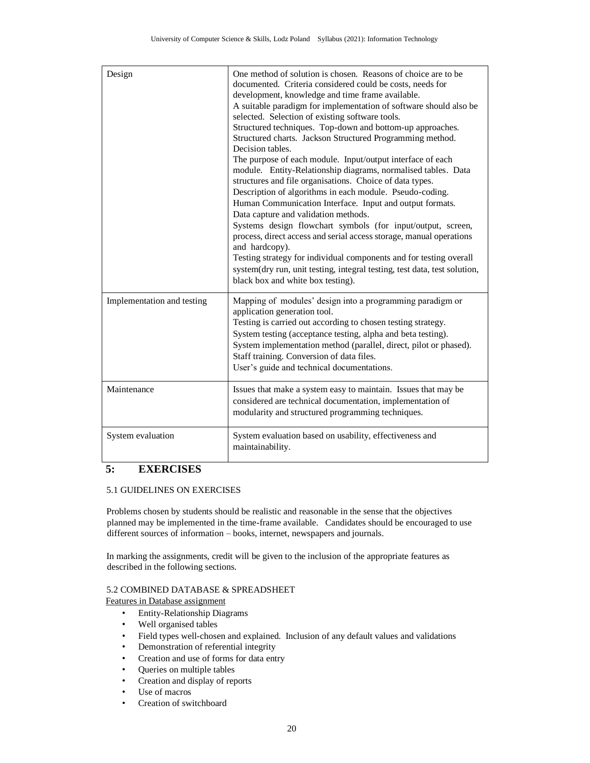| Design                     | One method of solution is chosen. Reasons of choice are to be<br>documented. Criteria considered could be costs, needs for<br>development, knowledge and time frame available.<br>A suitable paradigm for implementation of software should also be<br>selected. Selection of existing software tools.<br>Structured techniques. Top-down and bottom-up approaches.<br>Structured charts. Jackson Structured Programming method.<br>Decision tables.<br>The purpose of each module. Input/output interface of each<br>module. Entity-Relationship diagrams, normalised tables. Data<br>structures and file organisations. Choice of data types.<br>Description of algorithms in each module. Pseudo-coding.<br>Human Communication Interface. Input and output formats.<br>Data capture and validation methods.<br>Systems design flowchart symbols (for input/output, screen,<br>process, direct access and serial access storage, manual operations<br>and hardcopy).<br>Testing strategy for individual components and for testing overall<br>system(dry run, unit testing, integral testing, test data, test solution,<br>black box and white box testing). |
|----------------------------|-----------------------------------------------------------------------------------------------------------------------------------------------------------------------------------------------------------------------------------------------------------------------------------------------------------------------------------------------------------------------------------------------------------------------------------------------------------------------------------------------------------------------------------------------------------------------------------------------------------------------------------------------------------------------------------------------------------------------------------------------------------------------------------------------------------------------------------------------------------------------------------------------------------------------------------------------------------------------------------------------------------------------------------------------------------------------------------------------------------------------------------------------------------------|
| Implementation and testing | Mapping of modules' design into a programming paradigm or<br>application generation tool.<br>Testing is carried out according to chosen testing strategy.<br>System testing (acceptance testing, alpha and beta testing).<br>System implementation method (parallel, direct, pilot or phased).<br>Staff training. Conversion of data files.<br>User's guide and technical documentations.                                                                                                                                                                                                                                                                                                                                                                                                                                                                                                                                                                                                                                                                                                                                                                       |
| Maintenance                | Issues that make a system easy to maintain. Issues that may be<br>considered are technical documentation, implementation of<br>modularity and structured programming techniques.                                                                                                                                                                                                                                                                                                                                                                                                                                                                                                                                                                                                                                                                                                                                                                                                                                                                                                                                                                                |
| System evaluation          | System evaluation based on usability, effectiveness and<br>maintainability.                                                                                                                                                                                                                                                                                                                                                                                                                                                                                                                                                                                                                                                                                                                                                                                                                                                                                                                                                                                                                                                                                     |

## **5: EXERCISES**

#### 5.1 GUIDELINES ON EXERCISES

Problems chosen by students should be realistic and reasonable in the sense that the objectives planned may be implemented in the time-frame available. Candidates should be encouraged to use different sources of information – books, internet, newspapers and journals.

In marking the assignments, credit will be given to the inclusion of the appropriate features as described in the following sections.

### 5.2 COMBINED DATABASE & SPREADSHEET

Features in Database assignment

- Entity-Relationship Diagrams
- Well organised tables
- Field types well-chosen and explained. Inclusion of any default values and validations
- Demonstration of referential integrity
- Creation and use of forms for data entry
- Queries on multiple tables
- Creation and display of reports
- Use of macros
- Creation of switchboard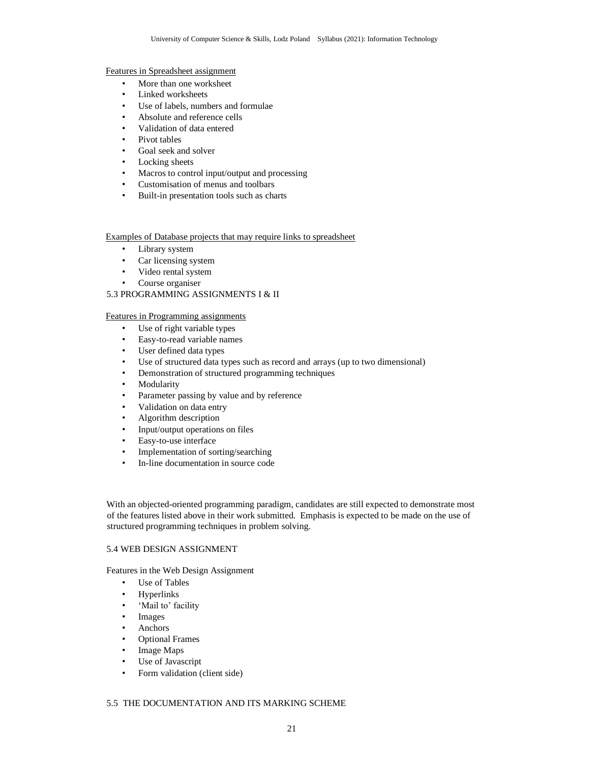#### Features in Spreadsheet assignment

- More than one worksheet
- Linked worksheets
- Use of labels, numbers and formulae
- Absolute and reference cells
- Validation of data entered
- Pivot tables
- Goal seek and solver
- Locking sheets
- Macros to control input/output and processing
- Customisation of menus and toolbars
- Built-in presentation tools such as charts

#### Examples of Database projects that may require links to spreadsheet

- Library system
- Car licensing system
- Video rental system
- Course organiser

### 5.3 PROGRAMMING ASSIGNMENTS I & II

#### Features in Programming assignments

- Use of right variable types
- Easy-to-read variable names
- User defined data types
- Use of structured data types such as record and arrays (up to two dimensional)
- Demonstration of structured programming techniques
- Modularity
- Parameter passing by value and by reference
- Validation on data entry
- Algorithm description
- Input/output operations on files
- Easy-to-use interface
- Implementation of sorting/searching
- In-line documentation in source code

With an objected-oriented programming paradigm, candidates are still expected to demonstrate most of the features listed above in their work submitted. Emphasis is expected to be made on the use of structured programming techniques in problem solving.

#### 5.4 WEB DESIGN ASSIGNMENT

Features in the Web Design Assignment

- Use of Tables
- Hyperlinks
- 'Mail to' facility
- Images
- Anchors
- Optional Frames
- Image Maps
- Use of Javascript
- Form validation (client side)

#### 5.5 THE DOCUMENTATION AND ITS MARKING SCHEME